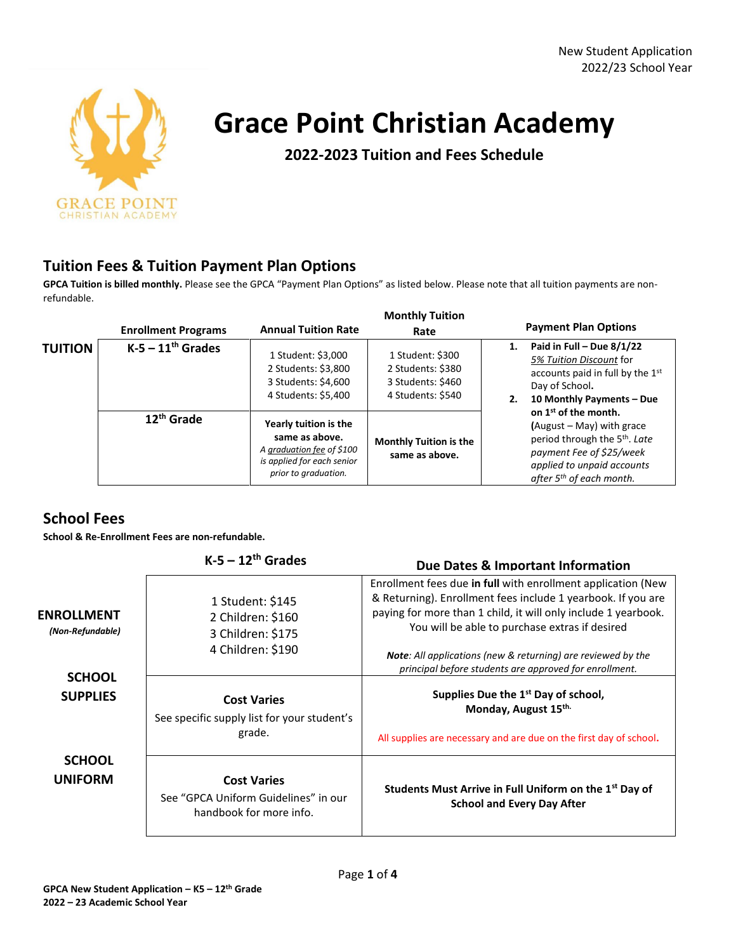

# **Grace Point Christian Academy**

**2022-2023 Tuition and Fees Schedule**

### **Tuition Fees & Tuition Payment Plan Options**

**GPCA Tuition is billed monthly.** Please see the GPCA "Payment Plan Options" as listed below. Please note that all tuition payments are nonrefundable.

|                | <b>Enrollment Programs</b> | <b>Annual Tuition Rate</b>                                                                                                 | <b>Monthly Tuition</b><br>Rate                                                  | <b>Payment Plan Options</b>                                                                                                                                                                                    |
|----------------|----------------------------|----------------------------------------------------------------------------------------------------------------------------|---------------------------------------------------------------------------------|----------------------------------------------------------------------------------------------------------------------------------------------------------------------------------------------------------------|
| <b>TUITION</b> | $K-5 - 11th$ Grades        | 1 Student: \$3,000<br>2 Students: \$3,800<br>3 Students: \$4,600<br>4 Students: \$5,400                                    | 1 Student: \$300<br>2 Students: \$380<br>3 Students: \$460<br>4 Students: \$540 | Paid in Full - Due $8/1/22$<br>5% Tuition Discount for<br>accounts paid in full by the 1st<br>Day of School.<br>10 Monthly Payments - Due<br>2.                                                                |
|                | $12th$ Grade               | Yearly tuition is the<br>same as above.<br>A graduation fee of \$100<br>is applied for each senior<br>prior to graduation. | <b>Monthly Tuition is the</b><br>same as above.                                 | on 1 <sup>st</sup> of the month.<br>$(August - May)$ with grace<br>period through the 5 <sup>th</sup> . Late<br>payment Fee of \$25/week<br>applied to unpaid accounts<br>after 5 <sup>th</sup> of each month. |

### **School Fees**

**School & Re-Enrollment Fees are non-refundable.** 

|                                       | $K-5-12^{th}$ Grades                                                                  | Due Dates & Important Information                                                                                                                                                                                                                |
|---------------------------------------|---------------------------------------------------------------------------------------|--------------------------------------------------------------------------------------------------------------------------------------------------------------------------------------------------------------------------------------------------|
| <b>ENROLLMENT</b><br>(Non-Refundable) | 1 Student: \$145<br>2 Children: \$160<br>3 Children: \$175                            | Enrollment fees due in full with enrollment application (New<br>& Returning). Enrollment fees include 1 yearbook. If you are<br>paying for more than 1 child, it will only include 1 yearbook.<br>You will be able to purchase extras if desired |
|                                       | 4 Children: \$190                                                                     | <b>Note:</b> All applications (new & returning) are reviewed by the<br>principal before students are approved for enrollment.                                                                                                                    |
| <b>SCHOOL</b><br><b>SUPPLIES</b>      | <b>Cost Varies</b><br>See specific supply list for your student's                     | Supplies Due the 1 <sup>st</sup> Day of school,<br>Monday, August 15 <sup>th.</sup>                                                                                                                                                              |
|                                       | grade.                                                                                | All supplies are necessary and are due on the first day of school.                                                                                                                                                                               |
| <b>SCHOOL</b><br><b>UNIFORM</b>       | <b>Cost Varies</b><br>See "GPCA Uniform Guidelines" in our<br>handbook for more info. | Students Must Arrive in Full Uniform on the 1 <sup>st</sup> Day of<br><b>School and Every Day After</b>                                                                                                                                          |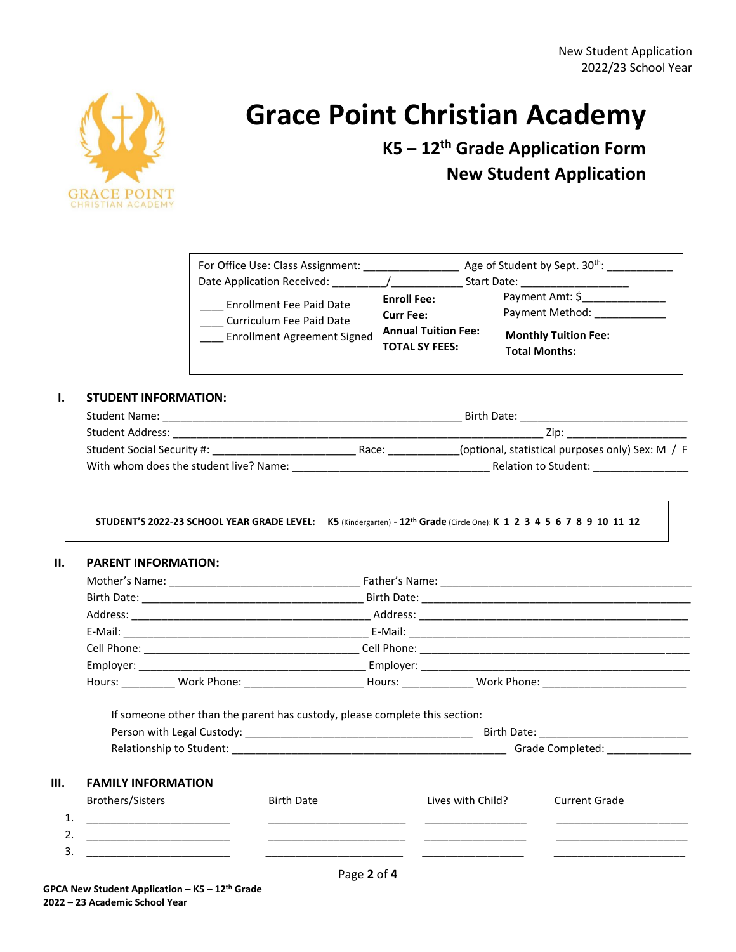

# **Grace Point Christian Academy**

**K5 – 12th Grade Application Form New Student Application**

| For Office Use: Class Assignment:<br>Date Application Received:                                   |                                                                                               | Age of Student by Sept. 30 <sup>th</sup> :<br>Start Date:                                 |
|---------------------------------------------------------------------------------------------------|-----------------------------------------------------------------------------------------------|-------------------------------------------------------------------------------------------|
| <b>Enrollment Fee Paid Date</b><br>Curriculum Fee Paid Date<br><b>Enrollment Agreement Signed</b> | <b>Enroll Fee:</b><br><b>Curr Fee:</b><br><b>Annual Tuition Fee:</b><br><b>TOTAL SY FEES:</b> | Payment Amt: \$<br>Payment Method:<br><b>Monthly Tuition Fee:</b><br><b>Total Months:</b> |

#### **I. STUDENT INFORMATION:**

| <b>Student Name:</b>                   |       | Birth Date:                                      |  |
|----------------------------------------|-------|--------------------------------------------------|--|
| Student Address:                       | Zip:  |                                                  |  |
| Student Social Security #:             | Race: | (optional, statistical purposes only) Sex: M / F |  |
| With whom does the student live? Name: |       | Relation to Student:                             |  |

**STUDENT'S 2022-23 SCHOOL YEAR GRADE LEVEL: K5** (Kindergarten) **- 12th Grade** (Circle One): **K 1 2 3 4 5 6 7 8 9 10 11 12**

#### **II. PARENT INFORMATION:**

|                           | Hours: ____________ Work Phone: ____________________________Hours: ___________________Work Phone: __________________ |                   |                                 |
|---------------------------|----------------------------------------------------------------------------------------------------------------------|-------------------|---------------------------------|
|                           | If someone other than the parent has custody, please complete this section:                                          |                   |                                 |
|                           |                                                                                                                      |                   |                                 |
|                           |                                                                                                                      |                   | Grade Completed: ______________ |
| <b>FAMILY INFORMATION</b> |                                                                                                                      |                   |                                 |
| <b>Brothers/Sisters</b>   | <b>Birth Date</b>                                                                                                    | Lives with Child? | Current Grade                   |
|                           |                                                                                                                      |                   |                                 |
|                           |                                                                                                                      |                   |                                 |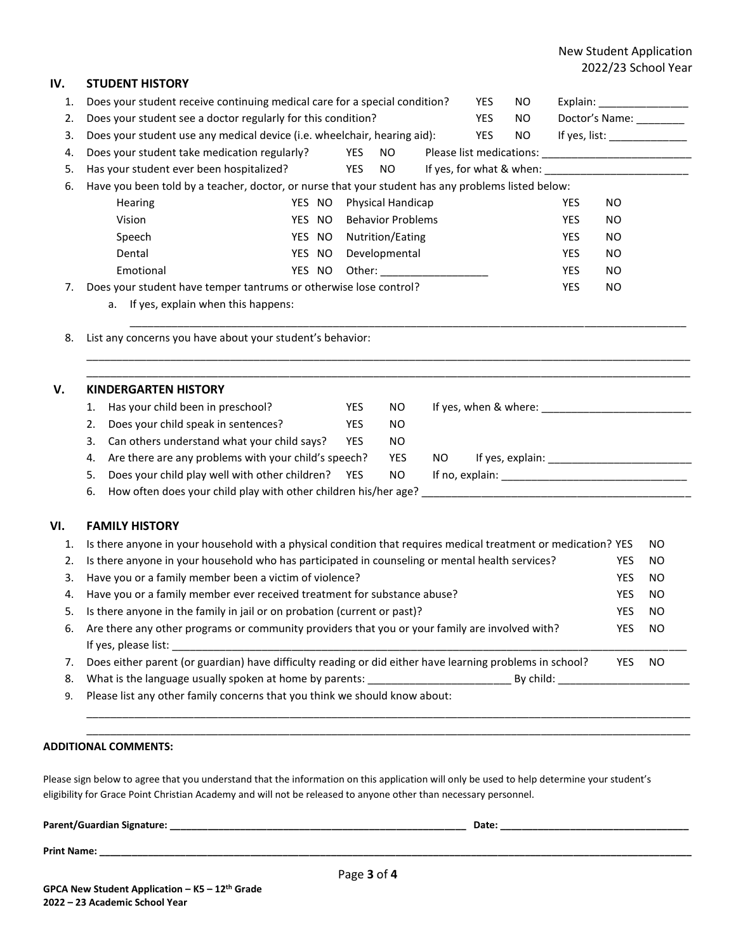#### New Student Application 2022/23 School Year

| IV. | <b>STUDENT HISTORY</b>                                                                                         |        |            |                          |                                                                                                                |     |                          |            |                               |           |
|-----|----------------------------------------------------------------------------------------------------------------|--------|------------|--------------------------|----------------------------------------------------------------------------------------------------------------|-----|--------------------------|------------|-------------------------------|-----------|
| 1.  | Does your student receive continuing medical care for a special condition?                                     |        |            |                          |                                                                                                                | YES | NO.                      |            | Explain: ____________________ |           |
| 2.  | Does your student see a doctor regularly for this condition?<br>YES                                            |        |            |                          | NO.                                                                                                            |     | Doctor's Name: ________  |            |                               |           |
| 3.  | Does your student use any medical device (i.e. wheelchair, hearing aid):<br>YES<br>NO.                         |        |            |                          | If yes, list: _______________                                                                                  |     |                          |            |                               |           |
| 4.  | Does your student take medication regularly?                                                                   |        | YES        | <b>NO</b>                |                                                                                                                |     |                          |            |                               |           |
| 5.  | Has your student ever been hospitalized?                                                                       |        | YES        | NO                       |                                                                                                                |     | If yes, for what & when: |            |                               |           |
| 6.  | Have you been told by a teacher, doctor, or nurse that your student has any problems listed below:             |        |            |                          |                                                                                                                |     |                          |            |                               |           |
|     | Hearing                                                                                                        | YES NO |            | Physical Handicap        |                                                                                                                |     |                          | <b>YES</b> | <b>NO</b>                     |           |
|     | Vision                                                                                                         | YES NO |            | <b>Behavior Problems</b> |                                                                                                                |     |                          | <b>YES</b> | <b>NO</b>                     |           |
|     | Speech                                                                                                         | YES NO |            | Nutrition/Eating         |                                                                                                                |     |                          | YES        | <b>NO</b>                     |           |
|     | Dental                                                                                                         | YES NO |            | Developmental            |                                                                                                                |     |                          | <b>YES</b> | <b>NO</b>                     |           |
|     | Emotional                                                                                                      | YES NO |            |                          | Other: and the contract of the contract of the contract of the contract of the contract of the contract of the |     |                          | YES        | <b>NO</b>                     |           |
| 7.  | Does your student have temper tantrums or otherwise lose control?                                              |        |            |                          |                                                                                                                |     |                          | YES        | <b>NO</b>                     |           |
|     | a. If yes, explain when this happens:                                                                          |        |            |                          |                                                                                                                |     |                          |            |                               |           |
| 8.  | List any concerns you have about your student's behavior:                                                      |        |            |                          |                                                                                                                |     |                          |            |                               |           |
| V.  | <b>KINDERGARTEN HISTORY</b>                                                                                    |        |            |                          |                                                                                                                |     |                          |            |                               |           |
|     | Has your child been in preschool?<br>1.                                                                        |        | <b>YES</b> | NO.                      |                                                                                                                |     |                          |            |                               |           |
|     | Does your child speak in sentences?<br>2.                                                                      |        | YES        | <b>NO</b>                |                                                                                                                |     |                          |            |                               |           |
|     | Can others understand what your child says?<br>3.                                                              |        | <b>YES</b> | NO                       |                                                                                                                |     |                          |            |                               |           |
|     | Are there are any problems with your child's speech?<br>4.                                                     |        |            | YES                      | NO.                                                                                                            |     |                          |            |                               |           |
|     | Does your child play well with other children?<br>5.                                                           |        | YES        | <b>NO</b>                |                                                                                                                |     |                          |            |                               |           |
|     | How often does your child play with other children his/her age?<br>6.                                          |        |            |                          |                                                                                                                |     |                          |            |                               |           |
| VI. | <b>FAMILY HISTORY</b>                                                                                          |        |            |                          |                                                                                                                |     |                          |            |                               |           |
| 1.  | Is there anyone in your household with a physical condition that requires medical treatment or medication? YES |        |            |                          |                                                                                                                |     |                          |            |                               | <b>NO</b> |
| 2.  | Is there anyone in your household who has participated in counseling or mental health services?                |        |            |                          |                                                                                                                |     |                          |            | YES                           | <b>NO</b> |
| 3.  | Have you or a family member been a victim of violence?                                                         |        |            |                          |                                                                                                                |     |                          |            | <b>YES</b>                    | <b>NO</b> |
| 4.  | Have you or a family member ever received treatment for substance abuse?                                       |        |            |                          |                                                                                                                |     |                          |            | YES                           | <b>NO</b> |
| 5.  | Is there anyone in the family in jail or on probation (current or past)?                                       |        |            |                          |                                                                                                                |     |                          |            | YES                           | NΩ        |
| 6.  | Are there any other programs or community providers that you or your family are involved with?                 |        |            |                          |                                                                                                                |     |                          |            | <b>YES</b>                    | <b>NO</b> |
|     |                                                                                                                |        |            |                          |                                                                                                                |     |                          |            |                               |           |
| 7.  | Does either parent (or guardian) have difficulty reading or did either have learning problems in school?       |        |            |                          |                                                                                                                |     |                          |            | <b>YES</b>                    | NO.       |
| 8.  | What is the language usually spoken at home by parents: ________________________                               |        |            |                          |                                                                                                                |     |                          |            |                               |           |
|     | Please list any other family concerns that you think we should know about:                                     |        |            |                          |                                                                                                                |     |                          |            |                               |           |
|     |                                                                                                                |        |            |                          |                                                                                                                |     |                          |            |                               |           |
| 9.  |                                                                                                                |        |            |                          |                                                                                                                |     |                          |            |                               |           |

Please sign below to agree that you understand that the information on this application will only be used to help determine your student's eligibility for Grace Point Christian Academy and will not be released to anyone other than necessary personnel.

| Parent/Guardian Signature: |   | Date: |
|----------------------------|---|-------|
| <b>Print Name:</b>         |   |       |
|                            | . |       |